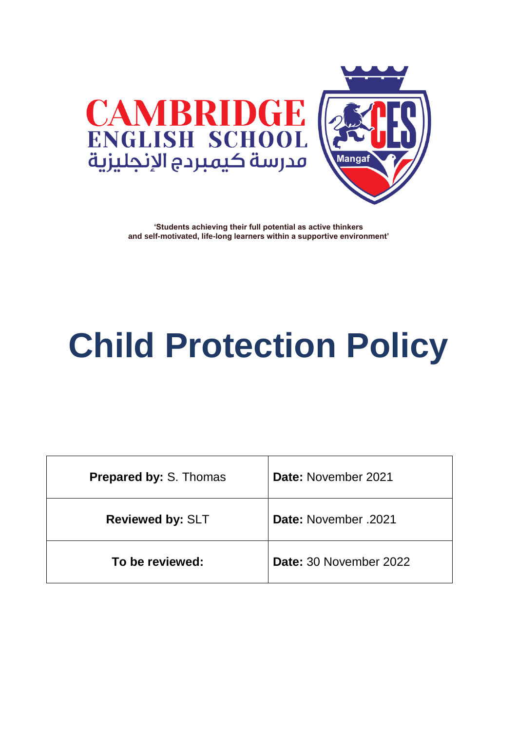



# **Child Protection Policy**

| <b>Prepared by: S. Thomas</b> | Date: November 2021    |
|-------------------------------|------------------------|
| <b>Reviewed by: SLT</b>       | Date: November 2021    |
| To be reviewed:               | Date: 30 November 2022 |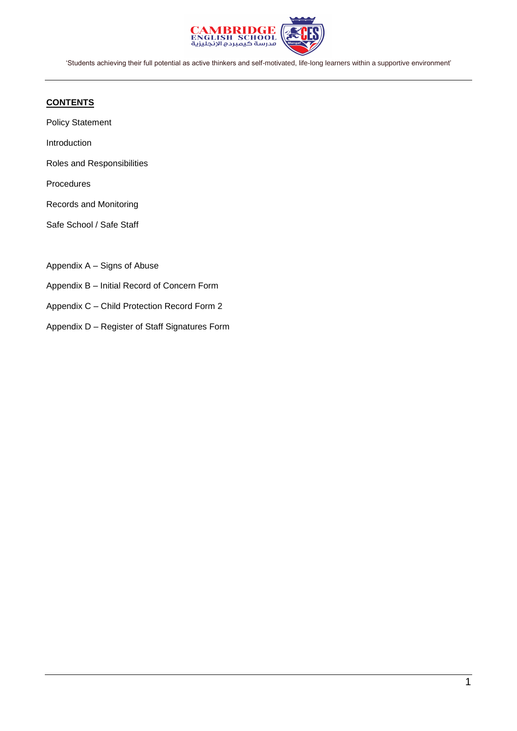

#### **CONTENTS**

Policy Statement

Introduction

Roles and Responsibilities

Procedures

Records and Monitoring

Safe School / Safe Staff

Appendix A – Signs of Abuse

Appendix B – Initial Record of Concern Form

Appendix C – Child Protection Record Form 2

Appendix D – Register of Staff Signatures Form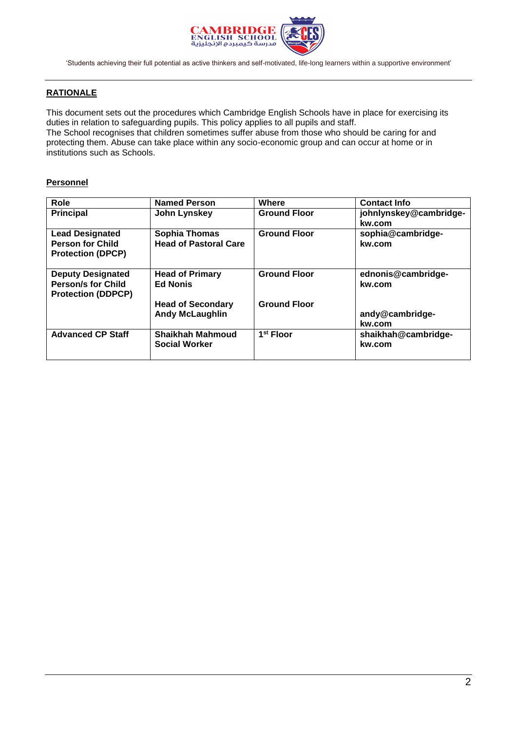

#### **RATIONALE**

This document sets out the procedures which Cambridge English Schools have in place for exercising its duties in relation to safeguarding pupils. This policy applies to all pupils and staff. The School recognises that children sometimes suffer abuse from those who should be caring for and protecting them. Abuse can take place within any socio-economic group and can occur at home or in institutions such as Schools.

#### **Personnel**

| Role                      | <b>Named Person</b>          | Where                 | <b>Contact Info</b>    |
|---------------------------|------------------------------|-----------------------|------------------------|
| <b>Principal</b>          | John Lynskey                 | <b>Ground Floor</b>   | johnlynskey@cambridge- |
|                           |                              |                       | kw.com                 |
| <b>Lead Designated</b>    | <b>Sophia Thomas</b>         | <b>Ground Floor</b>   | sophia@cambridge-      |
| <b>Person for Child</b>   | <b>Head of Pastoral Care</b> |                       | kw.com                 |
| <b>Protection (DPCP)</b>  |                              |                       |                        |
|                           |                              |                       |                        |
| <b>Deputy Designated</b>  | <b>Head of Primary</b>       | <b>Ground Floor</b>   | ednonis@cambridge-     |
| <b>Person/s for Child</b> | <b>Ed Nonis</b>              |                       | kw.com                 |
| <b>Protection (DDPCP)</b> |                              |                       |                        |
|                           | <b>Head of Secondary</b>     | <b>Ground Floor</b>   |                        |
|                           | <b>Andy McLaughlin</b>       |                       | andy@cambridge-        |
|                           |                              |                       | kw.com                 |
| <b>Advanced CP Staff</b>  | <b>Shaikhah Mahmoud</b>      | 1 <sup>st</sup> Floor | shaikhah@cambridge-    |
|                           | <b>Social Worker</b>         |                       | kw.com                 |
|                           |                              |                       |                        |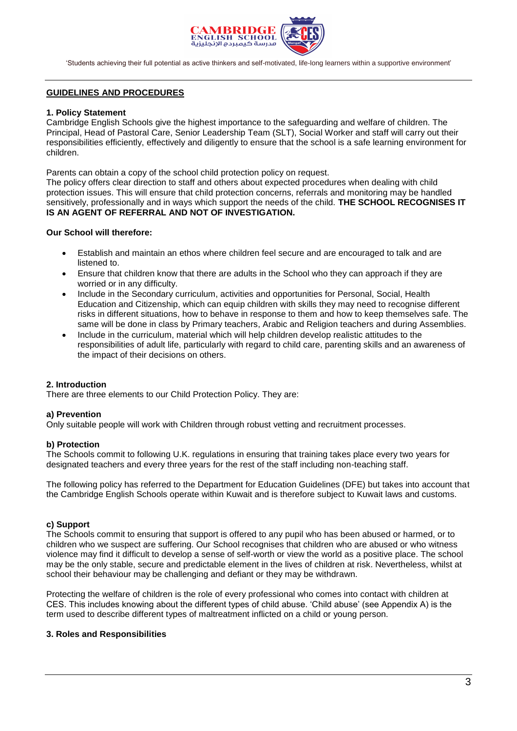

#### **GUIDELINES AND PROCEDURES**

#### **1. Policy Statement**

Cambridge English Schools give the highest importance to the safeguarding and welfare of children. The Principal, Head of Pastoral Care, Senior Leadership Team (SLT), Social Worker and staff will carry out their responsibilities efficiently, effectively and diligently to ensure that the school is a safe learning environment for children.

Parents can obtain a copy of the school child protection policy on request.

The policy offers clear direction to staff and others about expected procedures when dealing with child protection issues. This will ensure that child protection concerns, referrals and monitoring may be handled sensitively, professionally and in ways which support the needs of the child. **THE SCHOOL RECOGNISES IT IS AN AGENT OF REFERRAL AND NOT OF INVESTIGATION.** 

#### **Our School will therefore:**

- Establish and maintain an ethos where children feel secure and are encouraged to talk and are listened to.
- Ensure that children know that there are adults in the School who they can approach if they are worried or in any difficulty.
- Include in the Secondary curriculum, activities and opportunities for Personal, Social, Health Education and Citizenship, which can equip children with skills they may need to recognise different risks in different situations, how to behave in response to them and how to keep themselves safe. The same will be done in class by Primary teachers, Arabic and Religion teachers and during Assemblies.
- Include in the curriculum, material which will help children develop realistic attitudes to the responsibilities of adult life, particularly with regard to child care, parenting skills and an awareness of the impact of their decisions on others.

#### **2. Introduction**

There are three elements to our Child Protection Policy. They are:

#### **a) Prevention**

Only suitable people will work with Children through robust vetting and recruitment processes.

#### **b) Protection**

The Schools commit to following U.K. regulations in ensuring that training takes place every two years for designated teachers and every three years for the rest of the staff including non-teaching staff.

The following policy has referred to the Department for Education Guidelines (DFE) but takes into account that the Cambridge English Schools operate within Kuwait and is therefore subject to Kuwait laws and customs.

#### **c) Support**

The Schools commit to ensuring that support is offered to any pupil who has been abused or harmed, or to children who we suspect are suffering. Our School recognises that children who are abused or who witness violence may find it difficult to develop a sense of self-worth or view the world as a positive place. The school may be the only stable, secure and predictable element in the lives of children at risk. Nevertheless, whilst at school their behaviour may be challenging and defiant or they may be withdrawn.

Protecting the welfare of children is the role of every professional who comes into contact with children at CES. This includes knowing about the different types of child abuse. 'Child abuse' (see Appendix A) is the term used to describe different types of maltreatment inflicted on a child or young person.

#### **3. Roles and Responsibilities**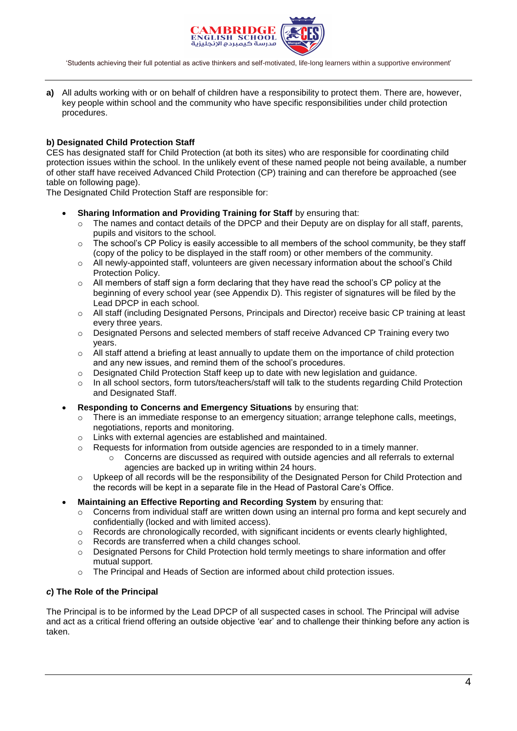

**a)** All adults working with or on behalf of children have a responsibility to protect them. There are, however, key people within school and the community who have specific responsibilities under child protection procedures.

#### **b) Designated Child Protection Staff**

CES has designated staff for Child Protection (at both its sites) who are responsible for coordinating child protection issues within the school. In the unlikely event of these named people not being available, a number of other staff have received Advanced Child Protection (CP) training and can therefore be approached (see table on following page).

The Designated Child Protection Staff are responsible for:

#### **Sharing Information and Providing Training for Staff** by ensuring that:

- o The names and contact details of the DPCP and their Deputy are on display for all staff, parents, pupils and visitors to the school.
- $\circ$  The school's CP Policy is easily accessible to all members of the school community, be they staff (copy of the policy to be displayed in the staff room) or other members of the community.
- o All newly-appointed staff, volunteers are given necessary information about the school's Child Protection Policy.
- $\circ$  All members of staff sign a form declaring that they have read the school's CP policy at the beginning of every school year (see Appendix D). This register of signatures will be filed by the Lead DPCP in each school.
- o All staff (including Designated Persons, Principals and Director) receive basic CP training at least every three years.
- o Designated Persons and selected members of staff receive Advanced CP Training every two years.
- $\circ$  All staff attend a briefing at least annually to update them on the importance of child protection and any new issues, and remind them of the school's procedures.
- $\circ$  Designated Child Protection Staff keep up to date with new legislation and guidance.
- o In all school sectors, form tutors/teachers/staff will talk to the students regarding Child Protection and Designated Staff.
- **Responding to Concerns and Emergency Situations** by ensuring that:
	- $\circ$  There is an immediate response to an emergency situation; arrange telephone calls, meetings, negotiations, reports and monitoring.
	- o Links with external agencies are established and maintained.
	- $\circ$  Requests for information from outside agencies are responded to in a timely manner.
		- $\circ$  Concerns are discussed as required with outside agencies and all referrals to external agencies are backed up in writing within 24 hours.
	- $\circ$  Upkeep of all records will be the responsibility of the Designated Person for Child Protection and the records will be kept in a separate file in the Head of Pastoral Care's Office.

#### **Maintaining an Effective Reporting and Recording System** by ensuring that:

- $\circ$  Concerns from individual staff are written down using an internal pro forma and kept securely and confidentially (locked and with limited access).
- $\circ$  Records are chronologically recorded, with significant incidents or events clearly highlighted,
- o Records are transferred when a child changes school.
- o Designated Persons for Child Protection hold termly meetings to share information and offer mutual support.
- o The Principal and Heads of Section are informed about child protection issues.

#### *c***) The Role of the Principal**

The Principal is to be informed by the Lead DPCP of all suspected cases in school. The Principal will advise and act as a critical friend offering an outside objective 'ear' and to challenge their thinking before any action is taken.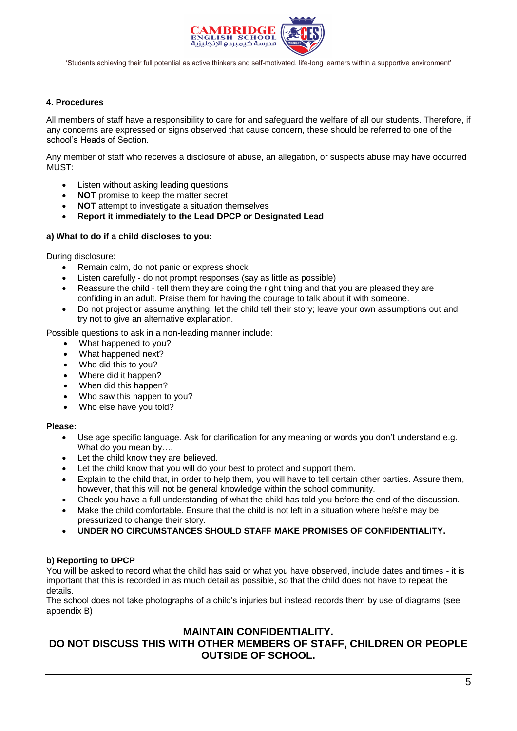

#### **4. Procedures**

All members of staff have a responsibility to care for and safeguard the welfare of all our students. Therefore, if any concerns are expressed or signs observed that cause concern, these should be referred to one of the school's Heads of Section.

Any member of staff who receives a disclosure of abuse, an allegation, or suspects abuse may have occurred MUST:

- Listen without asking leading questions
- **NOT** promise to keep the matter secret
- **NOT** attempt to investigate a situation themselves
- **Report it immediately to the Lead DPCP or Designated Lead**

#### **a) What to do if a child discloses to you:**

During disclosure:

- Remain calm, do not panic or express shock
- Listen carefully do not prompt responses (say as little as possible)
- Reassure the child tell them they are doing the right thing and that you are pleased they are confiding in an adult. Praise them for having the courage to talk about it with someone.
- Do not project or assume anything, let the child tell their story; leave your own assumptions out and try not to give an alternative explanation.

Possible questions to ask in a non-leading manner include:

- What happened to you?
- What happened next?
- Who did this to you?
- Where did it happen?
- When did this happen?
- Who saw this happen to you?
- Who else have you told?

#### **Please:**

- Use age specific language. Ask for clarification for any meaning or words you don't understand e.g. What do you mean by….
- Let the child know they are believed.
- Let the child know that you will do your best to protect and support them.
- Explain to the child that, in order to help them, you will have to tell certain other parties. Assure them, however, that this will not be general knowledge within the school community.
- Check you have a full understanding of what the child has told you before the end of the discussion.
- Make the child comfortable. Ensure that the child is not left in a situation where he/she may be pressurized to change their story.
- **UNDER NO CIRCUMSTANCES SHOULD STAFF MAKE PROMISES OF CONFIDENTIALITY.**

#### **b) Reporting to DPCP**

You will be asked to record what the child has said or what you have observed, include dates and times - it is important that this is recorded in as much detail as possible, so that the child does not have to repeat the details.

The school does not take photographs of a child's injuries but instead records them by use of diagrams (see appendix B)

#### **MAINTAIN CONFIDENTIALITY.**

### **DO NOT DISCUSS THIS WITH OTHER MEMBERS OF STAFF, CHILDREN OR PEOPLE OUTSIDE OF SCHOOL.**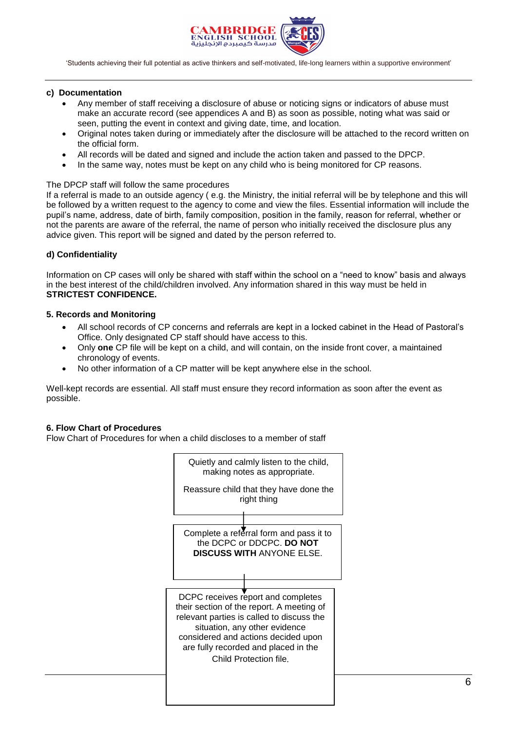

#### **c) Documentation**

- Any member of staff receiving a disclosure of abuse or noticing signs or indicators of abuse must make an accurate record (see appendices A and B) as soon as possible, noting what was said or seen, putting the event in context and giving date, time, and location.
- Original notes taken during or immediately after the disclosure will be attached to the record written on the official form.
- All records will be dated and signed and include the action taken and passed to the DPCP.
- In the same way, notes must be kept on any child who is being monitored for CP reasons.

#### The DPCP staff will follow the same procedures

If a referral is made to an outside agency ( e.g. the Ministry, the initial referral will be by telephone and this will be followed by a written request to the agency to come and view the files. Essential information will include the pupil's name, address, date of birth, family composition, position in the family, reason for referral, whether or not the parents are aware of the referral, the name of person who initially received the disclosure plus any advice given. This report will be signed and dated by the person referred to.

#### **d) Confidentiality**

Information on CP cases will only be shared with staff within the school on a "need to know" basis and always in the best interest of the child/children involved. Any information shared in this way must be held in **STRICTEST CONFIDENCE.**

#### **5. Records and Monitoring**

- All school records of CP concerns and referrals are kept in a locked cabinet in the Head of Pastoral's Office. Only designated CP staff should have access to this.
- Only **one** CP file will be kept on a child, and will contain, on the inside front cover, a maintained chronology of events.
- No other information of a CP matter will be kept anywhere else in the school.

Well-kept records are essential. All staff must ensure they record information as soon after the event as possible.

#### **6. Flow Chart of Procedures**

Flow Chart of Procedures for when a child discloses to a member of staff

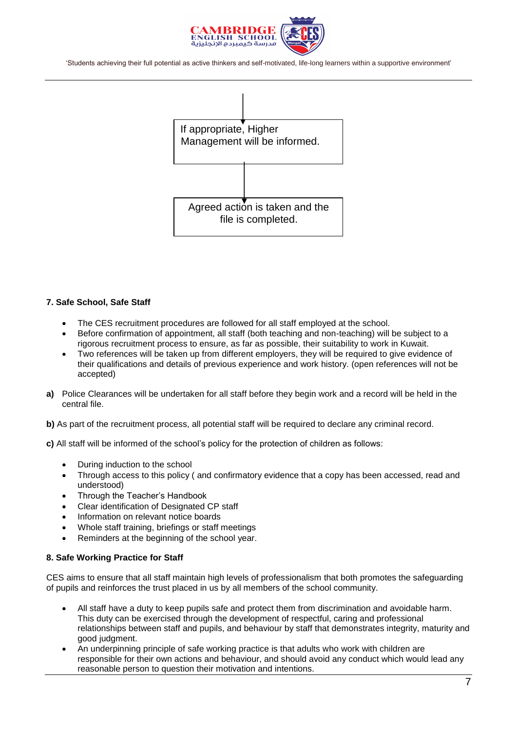



#### **7. Safe School, Safe Staff**

- The CES recruitment procedures are followed for all staff employed at the school.
- Before confirmation of appointment, all staff (both teaching and non-teaching) will be subject to a rigorous recruitment process to ensure, as far as possible, their suitability to work in Kuwait.
- Two references will be taken up from different employers, they will be required to give evidence of their qualifications and details of previous experience and work history. (open references will not be accepted)
- **a)** Police Clearances will be undertaken for all staff before they begin work and a record will be held in the central file.
- **b)** As part of the recruitment process, all potential staff will be required to declare any criminal record.
- **c)** All staff will be informed of the school's policy for the protection of children as follows:
	- During induction to the school
	- Through access to this policy ( and confirmatory evidence that a copy has been accessed, read and understood)
	- Through the Teacher's Handbook
	- Clear identification of Designated CP staff
	- Information on relevant notice boards
	- Whole staff training, briefings or staff meetings
	- Reminders at the beginning of the school year.

#### **8. Safe Working Practice for Staff**

CES aims to ensure that all staff maintain high levels of professionalism that both promotes the safeguarding of pupils and reinforces the trust placed in us by all members of the school community.

- All staff have a duty to keep pupils safe and protect them from discrimination and avoidable harm. This duty can be exercised through the development of respectful, caring and professional relationships between staff and pupils, and behaviour by staff that demonstrates integrity, maturity and good judgment.
- An underpinning principle of safe working practice is that adults who work with children are responsible for their own actions and behaviour, and should avoid any conduct which would lead any reasonable person to question their motivation and intentions.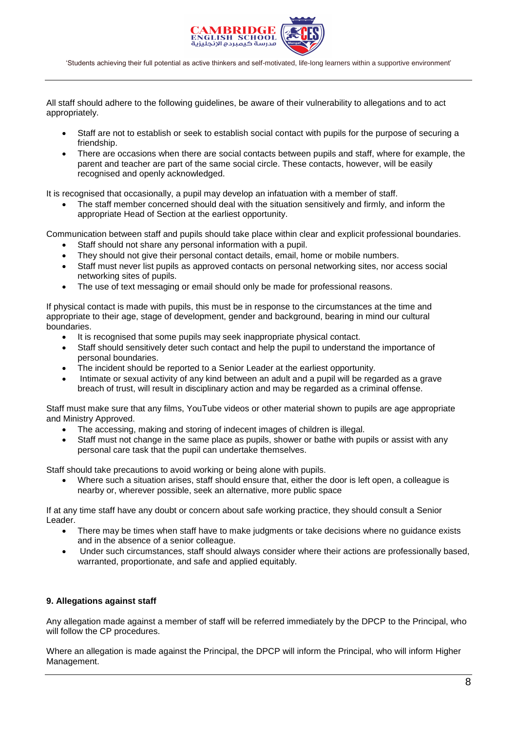

All staff should adhere to the following guidelines, be aware of their vulnerability to allegations and to act appropriately.

- Staff are not to establish or seek to establish social contact with pupils for the purpose of securing a friendship.
- There are occasions when there are social contacts between pupils and staff, where for example, the parent and teacher are part of the same social circle. These contacts, however, will be easily recognised and openly acknowledged.

It is recognised that occasionally, a pupil may develop an infatuation with a member of staff.

 The staff member concerned should deal with the situation sensitively and firmly, and inform the appropriate Head of Section at the earliest opportunity.

Communication between staff and pupils should take place within clear and explicit professional boundaries.

- Staff should not share any personal information with a pupil.
- They should not give their personal contact details, email, home or mobile numbers.
- Staff must never list pupils as approved contacts on personal networking sites, nor access social networking sites of pupils.
- The use of text messaging or email should only be made for professional reasons.

If physical contact is made with pupils, this must be in response to the circumstances at the time and appropriate to their age, stage of development, gender and background, bearing in mind our cultural boundaries.

- It is recognised that some pupils may seek inappropriate physical contact.
- Staff should sensitively deter such contact and help the pupil to understand the importance of personal boundaries.
- The incident should be reported to a Senior Leader at the earliest opportunity.
- Intimate or sexual activity of any kind between an adult and a pupil will be regarded as a grave breach of trust, will result in disciplinary action and may be regarded as a criminal offense.

Staff must make sure that any films, YouTube videos or other material shown to pupils are age appropriate and Ministry Approved.

- The accessing, making and storing of indecent images of children is illegal.
- Staff must not change in the same place as pupils, shower or bathe with pupils or assist with any personal care task that the pupil can undertake themselves.

Staff should take precautions to avoid working or being alone with pupils.

 Where such a situation arises, staff should ensure that, either the door is left open, a colleague is nearby or, wherever possible, seek an alternative, more public space

If at any time staff have any doubt or concern about safe working practice, they should consult a Senior Leader.

- There may be times when staff have to make judgments or take decisions where no guidance exists and in the absence of a senior colleague.
- Under such circumstances, staff should always consider where their actions are professionally based, warranted, proportionate, and safe and applied equitably.

#### **9. Allegations against staff**

Any allegation made against a member of staff will be referred immediately by the DPCP to the Principal, who will follow the CP procedures.

Where an allegation is made against the Principal, the DPCP will inform the Principal, who will inform Higher Management.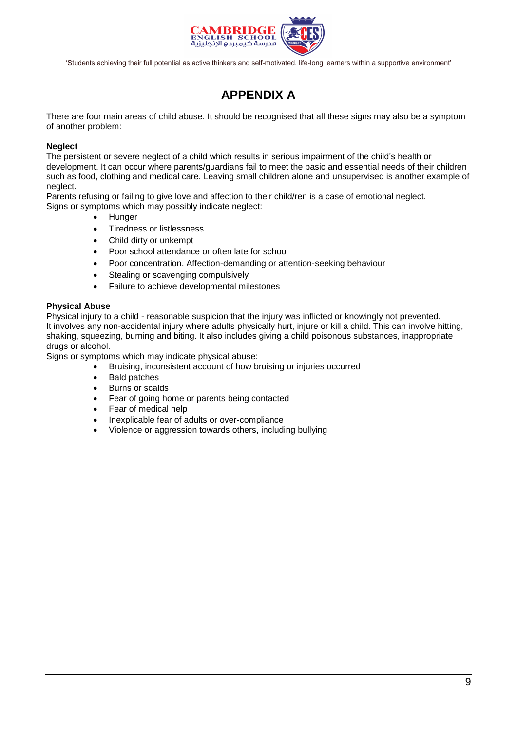

# **APPENDIX A**

There are four main areas of child abuse. It should be recognised that all these signs may also be a symptom of another problem:

#### **Neglect**

The persistent or severe neglect of a child which results in serious impairment of the child's health or development. It can occur where parents/guardians fail to meet the basic and essential needs of their children such as food, clothing and medical care. Leaving small children alone and unsupervised is another example of neglect.

Parents refusing or failing to give love and affection to their child/ren is a case of emotional neglect. Signs or symptoms which may possibly indicate neglect:

- **Hunger**
- Tiredness or listlessness
- Child dirty or unkempt
- Poor school attendance or often late for school
- Poor concentration. Affection-demanding or attention-seeking behaviour
- Stealing or scavenging compulsively
- Failure to achieve developmental milestones

#### **Physical Abuse**

Physical injury to a child - reasonable suspicion that the injury was inflicted or knowingly not prevented. It involves any non-accidental injury where adults physically hurt, injure or kill a child. This can involve hitting, shaking, squeezing, burning and biting. It also includes giving a child poisonous substances, inappropriate drugs or alcohol.

Signs or symptoms which may indicate physical abuse:

- Bruising, inconsistent account of how bruising or injuries occurred
- Bald patches
- Burns or scalds
- Fear of going home or parents being contacted
- Fear of medical help
- Inexplicable fear of adults or over-compliance
- Violence or aggression towards others, including bullying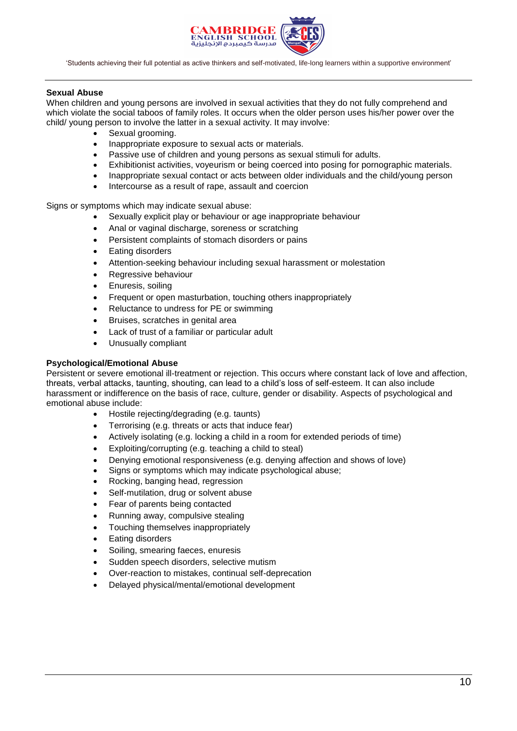

#### **Sexual Abuse**

When children and young persons are involved in sexual activities that they do not fully comprehend and which violate the social taboos of family roles. It occurs when the older person uses his/her power over the child/ young person to involve the latter in a sexual activity. It may involve:

- Sexual grooming.
- Inappropriate exposure to sexual acts or materials.
- Passive use of children and young persons as sexual stimuli for adults.
- Exhibitionist activities, voyeurism or being coerced into posing for pornographic materials.
- Inappropriate sexual contact or acts between older individuals and the child/young person
- Intercourse as a result of rape, assault and coercion

Signs or symptoms which may indicate sexual abuse:

- Sexually explicit play or behaviour or age inappropriate behaviour
- Anal or vaginal discharge, soreness or scratching
- Persistent complaints of stomach disorders or pains
- Eating disorders
- Attention-seeking behaviour including sexual harassment or molestation
- Regressive behaviour
- Enuresis, soiling
- Frequent or open masturbation, touching others inappropriately
- Reluctance to undress for PE or swimming
- Bruises, scratches in genital area
- Lack of trust of a familiar or particular adult
- Unusually compliant

#### **Psychological/Emotional Abuse**

Persistent or severe emotional ill-treatment or rejection. This occurs where constant lack of love and affection, threats, verbal attacks, taunting, shouting, can lead to a child's loss of self-esteem. It can also include harassment or indifference on the basis of race, culture, gender or disability. Aspects of psychological and emotional abuse include:

- Hostile rejecting/degrading (e.g. taunts)
- Terrorising (e.g. threats or acts that induce fear)
- Actively isolating (e.g. locking a child in a room for extended periods of time)
- Exploiting/corrupting (e.g. teaching a child to steal)
- Denying emotional responsiveness (e.g. denying affection and shows of love)
- Signs or symptoms which may indicate psychological abuse;
- Rocking, banging head, regression
- Self-mutilation, drug or solvent abuse
- Fear of parents being contacted
- Running away, compulsive stealing
- Touching themselves inappropriately
- Eating disorders
- Soiling, smearing faeces, enuresis
- Sudden speech disorders, selective mutism
- Over-reaction to mistakes, continual self-deprecation
- Delayed physical/mental/emotional development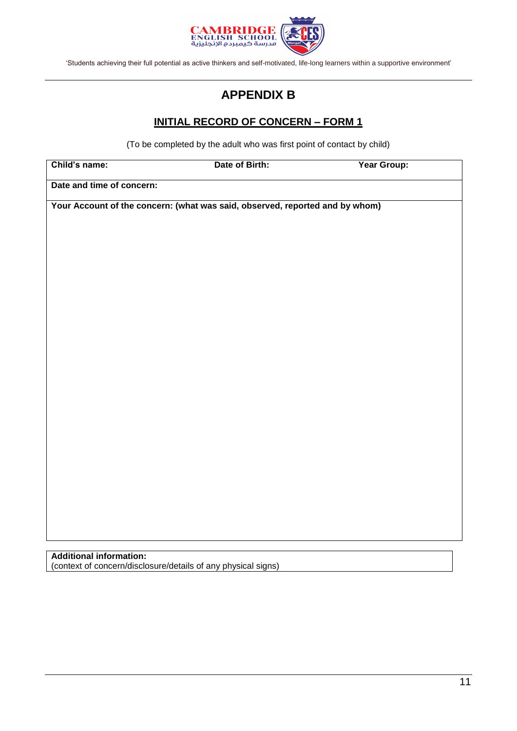

# **APPENDIX B**

## **INITIAL RECORD OF CONCERN – FORM 1**

(To be completed by the adult who was first point of contact by child)

| Child's name:                                                                | Date of Birth: | Year Group: |  |
|------------------------------------------------------------------------------|----------------|-------------|--|
| Date and time of concern:                                                    |                |             |  |
| Your Account of the concern: (what was said, observed, reported and by whom) |                |             |  |
|                                                                              |                |             |  |
|                                                                              |                |             |  |
|                                                                              |                |             |  |
|                                                                              |                |             |  |
|                                                                              |                |             |  |
|                                                                              |                |             |  |
|                                                                              |                |             |  |
|                                                                              |                |             |  |
|                                                                              |                |             |  |
|                                                                              |                |             |  |
|                                                                              |                |             |  |
|                                                                              |                |             |  |
|                                                                              |                |             |  |
|                                                                              |                |             |  |
|                                                                              |                |             |  |
|                                                                              |                |             |  |
|                                                                              |                |             |  |

# **Additional information:**

(context of concern/disclosure/details of any physical signs)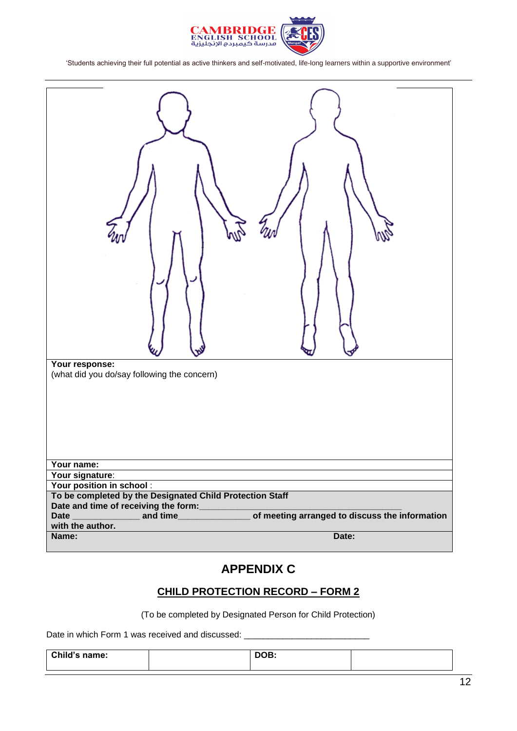

| Your response:<br>(what did you do/say following the concern)                         |
|---------------------------------------------------------------------------------------|
| Your name:                                                                            |
| Your signature:<br>Your position in school :                                          |
| To be completed by the Designated Child Protection Staff                              |
| Date and time of receiving the form:                                                  |
| <u>and</u><br>of meeting arranged to discuss the information<br>and time_____________ |
| with the author.                                                                      |
| Date:<br>Name:                                                                        |
|                                                                                       |

## **APPENDIX C**

## **CHILD PROTECTION RECORD – FORM 2**

(To be completed by Designated Person for Child Protection)

Date in which Form 1 was received and discussed: \_

| Child's name: | DOB: |  |
|---------------|------|--|
|               |      |  |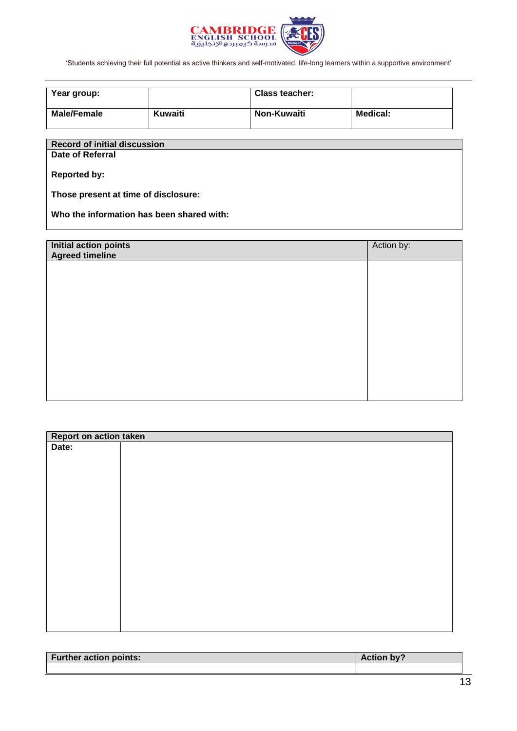

| Year group:        |         | <b>Class teacher:</b> |          |
|--------------------|---------|-----------------------|----------|
| <b>Male/Female</b> | Kuwaiti | Non-Kuwaiti           | Medical: |

## **Record of initial discussion**

**Date of Referral**

**Reported by:**

**Those present at time of disclosure:**

**Who the information has been shared with:**

| Initial action points<br>Agreed timeline | Action by: |
|------------------------------------------|------------|
|                                          |            |
|                                          |            |
|                                          |            |
|                                          |            |
|                                          |            |
|                                          |            |
|                                          |            |

| Report on action taken |  |  |  |
|------------------------|--|--|--|
| Date:                  |  |  |  |
|                        |  |  |  |
|                        |  |  |  |
|                        |  |  |  |
|                        |  |  |  |
|                        |  |  |  |
|                        |  |  |  |
|                        |  |  |  |
|                        |  |  |  |
|                        |  |  |  |
|                        |  |  |  |
|                        |  |  |  |
|                        |  |  |  |
|                        |  |  |  |
|                        |  |  |  |
|                        |  |  |  |
|                        |  |  |  |
|                        |  |  |  |

| <b>Further action points:</b> | <b>Action by</b> |
|-------------------------------|------------------|
|                               |                  |